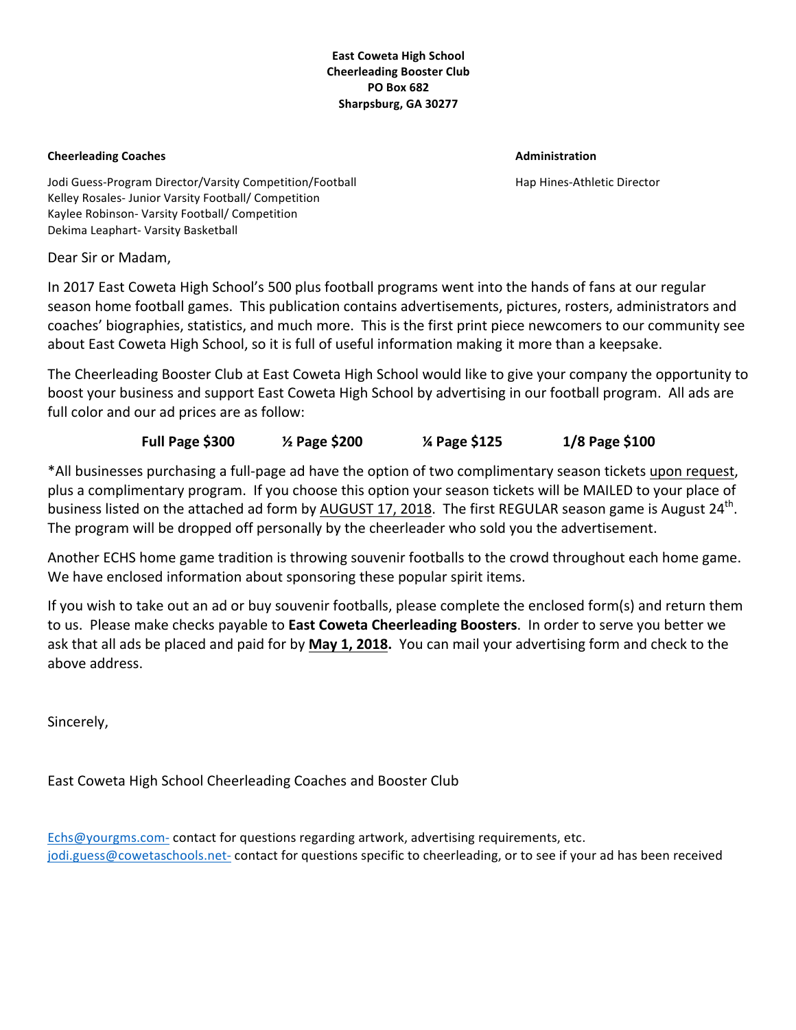### **East Coweta High School Cheerleading Booster Club PO Box 682 Sharpsburg, GA 30277**

#### **Cheerleading Coaches Administration** *Administration* **<b>Administration**

Jodi Guess-Program Director/Varsity Competition/Football Hap Hines-Athletic Director Kelley Rosales- Junior Varsity Football/ Competition Kaylee Robinson- Varsity Football/ Competition Dekima Leaphart- Varsity Basketball

Dear Sir or Madam,

In 2017 East Coweta High School's 500 plus football programs went into the hands of fans at our regular season home football games. This publication contains advertisements, pictures, rosters, administrators and coaches' biographies, statistics, and much more. This is the first print piece newcomers to our community see about East Coweta High School, so it is full of useful information making it more than a keepsake.

The Cheerleading Booster Club at East Coweta High School would like to give your company the opportunity to boost your business and support East Coweta High School by advertising in our football program. All ads are full color and our ad prices are as follow:

## **Full Page \$300**  $\frac{1}{8}$  Page \$200  $\frac{1}{8}$  Page \$125  $\frac{1}{8}$  Page \$100

\*All businesses purchasing a full-page ad have the option of two complimentary season tickets upon request, plus a complimentary program. If you choose this option your season tickets will be MAILED to your place of business listed on the attached ad form by AUGUST 17, 2018. The first REGULAR season game is August 24<sup>th</sup>. The program will be dropped off personally by the cheerleader who sold you the advertisement.

Another ECHS home game tradition is throwing souvenir footballs to the crowd throughout each home game. We have enclosed information about sponsoring these popular spirit items.

If you wish to take out an ad or buy souvenir footballs, please complete the enclosed form(s) and return them to us. Please make checks payable to **East Coweta Cheerleading Boosters**. In order to serve you better we ask that all ads be placed and paid for by **May 1, 2018.** You can mail your advertising form and check to the above address. 

Sincerely, 

East Coweta High School Cheerleading Coaches and Booster Club

Echs@yourgms.com- contact for questions regarding artwork, advertising requirements, etc. jodi.guess@cowetaschools.net- contact for questions specific to cheerleading, or to see if your ad has been received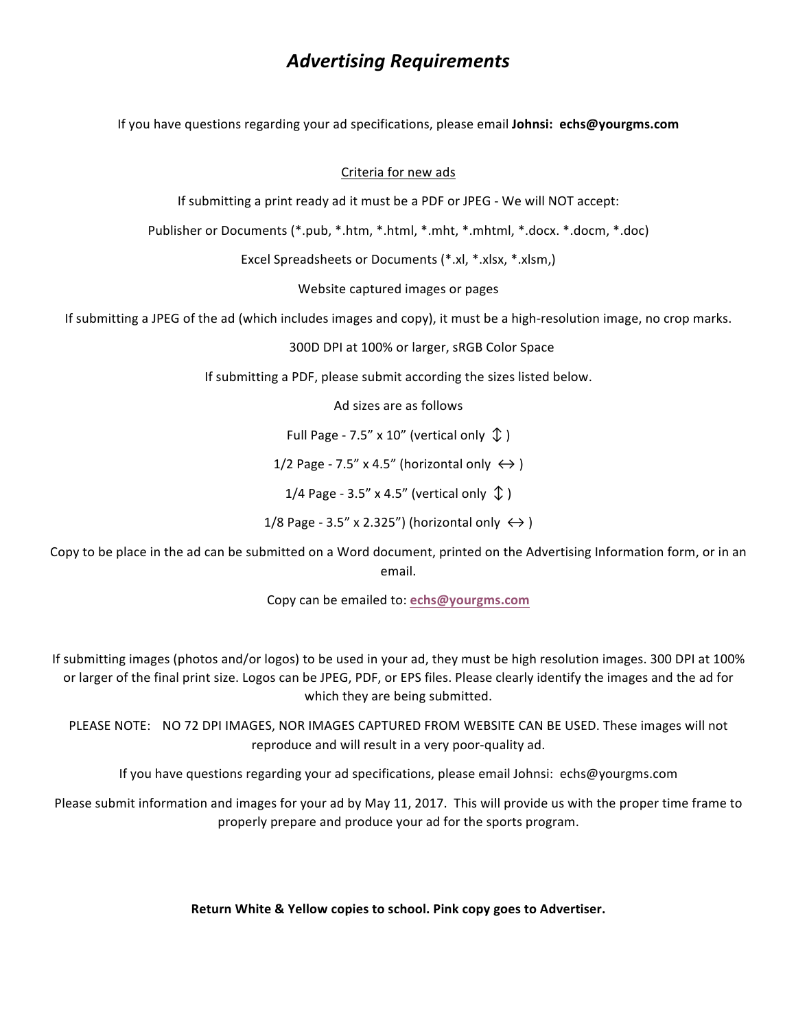# *Advertising Requirements*

If you have questions regarding your ad specifications, please email **Johnsi: echs@yourgms.com** 

### Criteria for new ads

If submitting a print ready ad it must be a PDF or JPEG - We will NOT accept:

Publisher or Documents (\*.pub, \*.htm, \*.html, \*.mht, \*.mhtml, \*.docx. \*.docm, \*.doc)

Excel Spreadsheets or Documents (\*.xl, \*.xlsx, \*.xlsm,)

Website captured images or pages

If submitting a JPEG of the ad (which includes images and copy), it must be a high-resolution image, no crop marks.

300D DPI at 100% or larger, sRGB Color Space

If submitting a PDF, please submit according the sizes listed below.

Ad sizes are as follows

Full Page - 7.5" x 10" (vertical only  $\hat{\psi}$ )

1/2 Page - 7.5" x 4.5" (horizontal only  $\leftrightarrow$ )

1/4 Page - 3.5" x 4.5" (vertical only  $\hat{\psi}$ )

1/8 Page - 3.5" x 2.325") (horizontal only  $\leftrightarrow$ )

Copy to be place in the ad can be submitted on a Word document, printed on the Advertising Information form, or in an email.

Copy can be emailed to: **echs@yourgms.com**

If submitting images (photos and/or logos) to be used in your ad, they must be high resolution images. 300 DPI at 100% or larger of the final print size. Logos can be JPEG, PDF, or EPS files. Please clearly identify the images and the ad for which they are being submitted.

PLEASE NOTE: NO 72 DPI IMAGES, NOR IMAGES CAPTURED FROM WEBSITE CAN BE USED. These images will not reproduce and will result in a very poor-quality ad.

If you have questions regarding your ad specifications, please email Johnsi: echs@yourgms.com

Please submit information and images for your ad by May 11, 2017. This will provide us with the proper time frame to properly prepare and produce your ad for the sports program.

**Return White & Yellow copies to school. Pink copy goes to Advertiser.**